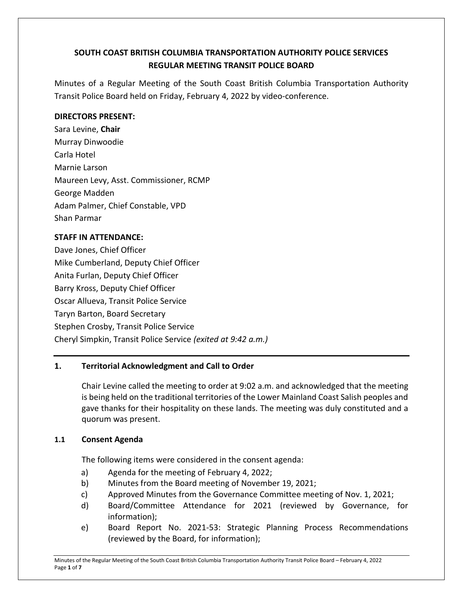# **SOUTH COAST BRITISH COLUMBIA TRANSPORTATION AUTHORITY POLICE SERVICES REGULAR MEETING TRANSIT POLICE BOARD**

Minutes of a Regular Meeting of the South Coast British Columbia Transportation Authority Transit Police Board held on Friday, February 4, 2022 by video-conference.

### **DIRECTORS PRESENT:**

Sara Levine, **Chair** Murray Dinwoodie Carla Hotel Marnie Larson Maureen Levy, Asst. Commissioner, RCMP George Madden Adam Palmer, Chief Constable, VPD Shan Parmar

### **STAFF IN ATTENDANCE:**

Dave Jones, Chief Officer Mike Cumberland, Deputy Chief Officer Anita Furlan, Deputy Chief Officer Barry Kross, Deputy Chief Officer Oscar Allueva, Transit Police Service Taryn Barton, Board Secretary Stephen Crosby, Transit Police Service Cheryl Simpkin, Transit Police Service *(exited at 9:42 a.m.)*

# **1. Territorial Acknowledgment and Call to Order**

Chair Levine called the meeting to order at 9:02 a.m. and acknowledged that the meeting is being held on the traditional territories of the Lower Mainland Coast Salish peoples and gave thanks for their hospitality on these lands. The meeting was duly constituted and a quorum was present.

# **1.1 Consent Agenda**

The following items were considered in the consent agenda:

- a) Agenda for the meeting of February 4, 2022;
- b) Minutes from the Board meeting of November 19, 2021;
- c) Approved Minutes from the Governance Committee meeting of Nov. 1, 2021;
- d) Board/Committee Attendance for 2021 (reviewed by Governance, for information);
- e) Board Report No. 2021-53: Strategic Planning Process Recommendations (reviewed by the Board, for information);

Minutes of the Regular Meeting of the South Coast British Columbia Transportation Authority Transit Police Board – February 4, 2022 Page **1** of **7**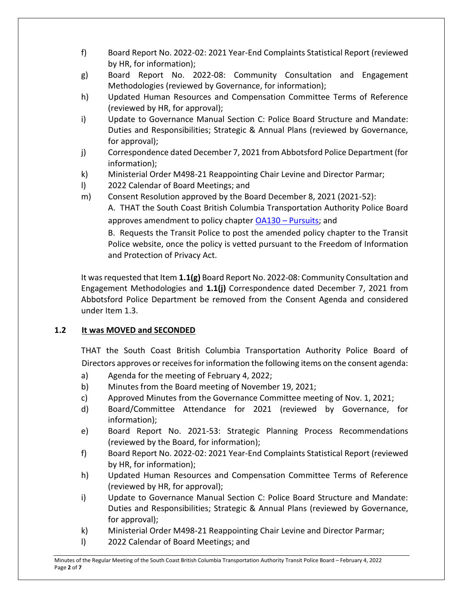- f) Board Report No. 2022-02: 2021 Year-End Complaints Statistical Report (reviewed by HR, for information);
- g) Board Report No. 2022-08: Community Consultation and Engagement Methodologies (reviewed by Governance, for information);
- h) Updated Human Resources and Compensation Committee Terms of Reference (reviewed by HR, for approval);
- i) Update to Governance Manual Section C: Police Board Structure and Mandate: Duties and Responsibilities; Strategic & Annual Plans (reviewed by Governance, for approval);
- j) Correspondence dated December 7, 2021 from Abbotsford Police Department (for information);
- k) Ministerial Order M498-21 Reappointing Chair Levine and Director Parmar;
- l) 2022 Calendar of Board Meetings; and
- m) Consent Resolution approved by the Board December 8, 2021 (2021-52):

A. THAT the South Coast British Columbia Transportation Authority Police Board approves amendment to policy chapter OA130 – [Pursuits;](https://transitpolice.ca/wp-content/uploads/2022/01/OA130-Pursuits-Policy-TP2021-12-08.secured.pdf) and

B. Requests the Transit Police to post the amended policy chapter to the Transit Police website, once the policy is vetted pursuant to the Freedom of Information and Protection of Privacy Act.

It was requested that Item **1.1(g)** Board Report No. 2022-08: Community Consultation and Engagement Methodologies and **1.1(j)** Correspondence dated December 7, 2021 from Abbotsford Police Department be removed from the Consent Agenda and considered under Item 1.3.

# **1.2 It was MOVED and SECONDED**

THAT the South Coast British Columbia Transportation Authority Police Board of Directors approves or receives for information the following items on the consent agenda:

- a) Agenda for the meeting of February 4, 2022;
- b) Minutes from the Board meeting of November 19, 2021;
- c) Approved Minutes from the Governance Committee meeting of Nov. 1, 2021;
- d) Board/Committee Attendance for 2021 (reviewed by Governance, for information);
- e) Board Report No. 2021-53: Strategic Planning Process Recommendations (reviewed by the Board, for information);
- f) Board Report No. 2022-02: 2021 Year-End Complaints Statistical Report (reviewed by HR, for information);
- h) Updated Human Resources and Compensation Committee Terms of Reference (reviewed by HR, for approval);
- i) Update to Governance Manual Section C: Police Board Structure and Mandate: Duties and Responsibilities; Strategic & Annual Plans (reviewed by Governance, for approval);
- k) Ministerial Order M498-21 Reappointing Chair Levine and Director Parmar;
- l) 2022 Calendar of Board Meetings; and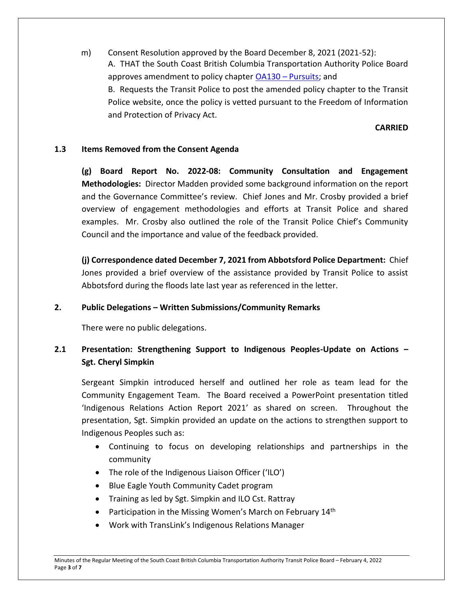m) Consent Resolution approved by the Board December 8, 2021 (2021-52): A. THAT the South Coast British Columbia Transportation Authority Police Board approves amendment to policy chapter OA130 – [Pursuits;](https://transitpolice.ca/wp-content/uploads/2022/01/OA130-Pursuits-Policy-TP2021-12-08.secured.pdf) and B. Requests the Transit Police to post the amended policy chapter to the Transit Police website, once the policy is vetted pursuant to the Freedom of Information and Protection of Privacy Act.

### **CARRIED**

### **1.3 Items Removed from the Consent Agenda**

**(g) Board Report No. 2022-08: Community Consultation and Engagement Methodologies:** Director Madden provided some background information on the report and the Governance Committee's review. Chief Jones and Mr. Crosby provided a brief overview of engagement methodologies and efforts at Transit Police and shared examples. Mr. Crosby also outlined the role of the Transit Police Chief's Community Council and the importance and value of the feedback provided.

**(j) Correspondence dated December 7, 2021 from Abbotsford Police Department:** Chief Jones provided a brief overview of the assistance provided by Transit Police to assist Abbotsford during the floods late last year as referenced in the letter.

### **2. Public Delegations – Written Submissions/Community Remarks**

There were no public delegations.

# **2.1 Presentation: Strengthening Support to Indigenous Peoples-Update on Actions – Sgt. Cheryl Simpkin**

Sergeant Simpkin introduced herself and outlined her role as team lead for the Community Engagement Team. The Board received a PowerPoint presentation titled 'Indigenous Relations Action Report 2021' as shared on screen. Throughout the presentation, Sgt. Simpkin provided an update on the actions to strengthen support to Indigenous Peoples such as:

- Continuing to focus on developing relationships and partnerships in the community
- The role of the Indigenous Liaison Officer ('ILO')
- Blue Eagle Youth Community Cadet program
- Training as led by Sgt. Simpkin and ILO Cst. Rattray
- Participation in the Missing Women's March on February  $14<sup>th</sup>$
- Work with TransLink's Indigenous Relations Manager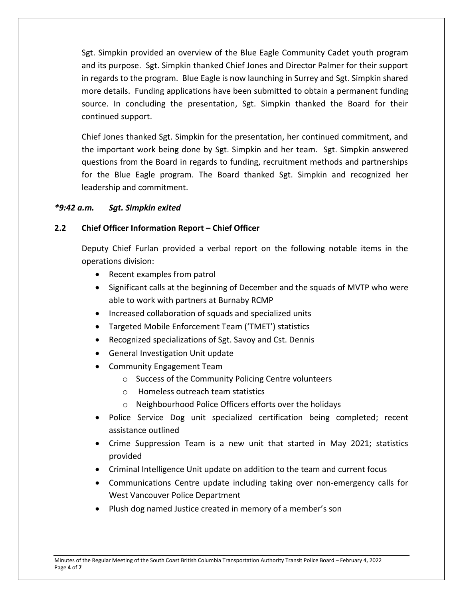Sgt. Simpkin provided an overview of the Blue Eagle Community Cadet youth program and its purpose. Sgt. Simpkin thanked Chief Jones and Director Palmer for their support in regards to the program. Blue Eagle is now launching in Surrey and Sgt. Simpkin shared more details. Funding applications have been submitted to obtain a permanent funding source. In concluding the presentation, Sgt. Simpkin thanked the Board for their continued support.

Chief Jones thanked Sgt. Simpkin for the presentation, her continued commitment, and the important work being done by Sgt. Simpkin and her team. Sgt. Simpkin answered questions from the Board in regards to funding, recruitment methods and partnerships for the Blue Eagle program. The Board thanked Sgt. Simpkin and recognized her leadership and commitment.

### *\*9:42 a.m. Sgt. Simpkin exited*

### **2.2 Chief Officer Information Report – Chief Officer**

Deputy Chief Furlan provided a verbal report on the following notable items in the operations division:

- Recent examples from patrol
- Significant calls at the beginning of December and the squads of MVTP who were able to work with partners at Burnaby RCMP
- Increased collaboration of squads and specialized units
- Targeted Mobile Enforcement Team ('TMET') statistics
- Recognized specializations of Sgt. Savoy and Cst. Dennis
- General Investigation Unit update
- Community Engagement Team
	- o Success of the Community Policing Centre volunteers
	- o Homeless outreach team statistics
	- o Neighbourhood Police Officers efforts over the holidays
- Police Service Dog unit specialized certification being completed; recent assistance outlined
- Crime Suppression Team is a new unit that started in May 2021; statistics provided
- Criminal Intelligence Unit update on addition to the team and current focus
- Communications Centre update including taking over non-emergency calls for West Vancouver Police Department
- Plush dog named Justice created in memory of a member's son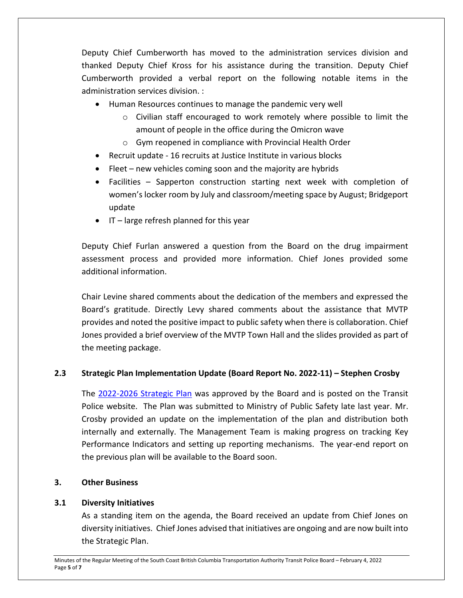Deputy Chief Cumberworth has moved to the administration services division and thanked Deputy Chief Kross for his assistance during the transition. Deputy Chief Cumberworth provided a verbal report on the following notable items in the administration services division. :

- Human Resources continues to manage the pandemic very well
	- o Civilian staff encouraged to work remotely where possible to limit the amount of people in the office during the Omicron wave
	- o Gym reopened in compliance with Provincial Health Order
- Recruit update 16 recruits at Justice Institute in various blocks
- Fleet new vehicles coming soon and the majority are hybrids
- Facilities Sapperton construction starting next week with completion of women's locker room by July and classroom/meeting space by August; Bridgeport update
- $\bullet$  IT large refresh planned for this year

Deputy Chief Furlan answered a question from the Board on the drug impairment assessment process and provided more information. Chief Jones provided some additional information.

Chair Levine shared comments about the dedication of the members and expressed the Board's gratitude. Directly Levy shared comments about the assistance that MVTP provides and noted the positive impact to public safety when there is collaboration. Chief Jones provided a brief overview of the MVTP Town Hall and the slides provided as part of the meeting package.

# **2.3 Strategic Plan Implementation Update (Board Report No. 2022-11) – Stephen Crosby**

The [2022-2026 Strategic Plan](https://transitpolice.ca/wp-content/uploads/2022/01/Transit-Police-Strategic-Plan-20211208-v10-FINAL-web-spreads.pdf) was approved by the Board and is posted on the Transit Police website. The Plan was submitted to Ministry of Public Safety late last year. Mr. Crosby provided an update on the implementation of the plan and distribution both internally and externally. The Management Team is making progress on tracking Key Performance Indicators and setting up reporting mechanisms. The year-end report on the previous plan will be available to the Board soon.

# **3. Other Business**

# **3.1 Diversity Initiatives**

As a standing item on the agenda, the Board received an update from Chief Jones on diversity initiatives. Chief Jones advised that initiatives are ongoing and are now built into the Strategic Plan.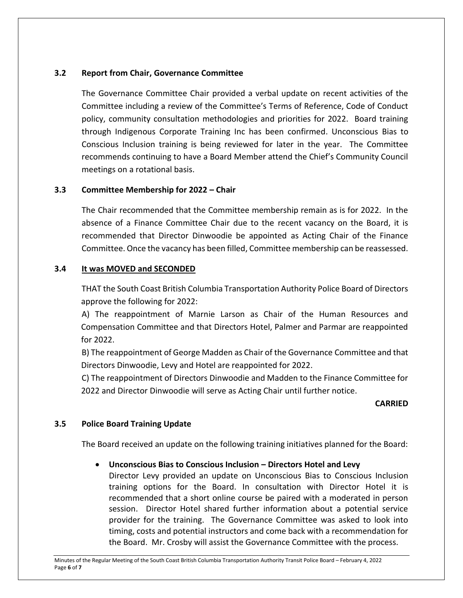### **3.2 Report from Chair, Governance Committee**

The Governance Committee Chair provided a verbal update on recent activities of the Committee including a review of the Committee's Terms of Reference, Code of Conduct policy, community consultation methodologies and priorities for 2022. Board training through Indigenous Corporate Training Inc has been confirmed. Unconscious Bias to Conscious Inclusion training is being reviewed for later in the year. The Committee recommends continuing to have a Board Member attend the Chief's Community Council meetings on a rotational basis.

### **3.3 Committee Membership for 2022 – Chair**

The Chair recommended that the Committee membership remain as is for 2022. In the absence of a Finance Committee Chair due to the recent vacancy on the Board, it is recommended that Director Dinwoodie be appointed as Acting Chair of the Finance Committee. Once the vacancy has been filled, Committee membership can be reassessed.

### **3.4 It was MOVED and SECONDED**

THAT the South Coast British Columbia Transportation Authority Police Board of Directors approve the following for 2022:

A) The reappointment of Marnie Larson as Chair of the Human Resources and Compensation Committee and that Directors Hotel, Palmer and Parmar are reappointed for 2022.

B) The reappointment of George Madden as Chair of the Governance Committee and that Directors Dinwoodie, Levy and Hotel are reappointed for 2022.

C) The reappointment of Directors Dinwoodie and Madden to the Finance Committee for 2022 and Director Dinwoodie will serve as Acting Chair until further notice.

### **CARRIED**

### **3.5 Police Board Training Update**

The Board received an update on the following training initiatives planned for the Board:

# **Unconscious Bias to Conscious Inclusion – Directors Hotel and Levy**

Director Levy provided an update on Unconscious Bias to Conscious Inclusion training options for the Board. In consultation with Director Hotel it is recommended that a short online course be paired with a moderated in person session. Director Hotel shared further information about a potential service provider for the training. The Governance Committee was asked to look into timing, costs and potential instructors and come back with a recommendation for the Board. Mr. Crosby will assist the Governance Committee with the process.